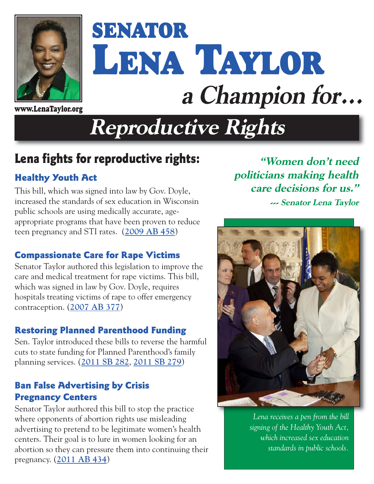

# **SENATOR LENA TAYLOR a Champion for... www.LenaTaylor.org**

## **Reproductive Rights**

### **Lena fights for reproductive rights:**

#### **Healthy Youth Act**

This bill, which was signed into law by Gov. Doyle, increased the standards of sex education in Wisconsin public schools are using medically accurate, ageappropriate programs that have been proven to reduce teen pregnancy and STI rates. (**[2009 AB 458](http://docs.legis.wisconsin.gov/2009/proposals/AB458)**)

#### **Compassionate Care for Rape Victims**

Senator Taylor authored this legislation to improve the care and medical treatment for rape victims. This bill, which was signed in law by Gov. Doyle, requires hospitals treating victims of rape to offer emergency contraception. (**[2007 AB 377](http://docs.legis.wisconsin.gov/2007/proposals/AB377)**)

#### **Restoring Planned Parenthood Funding**

Sen. Taylor introduced these bills to reverse the harmful cuts to state funding for Planned Parenthood's family planning services. (**[2011 SB 282](http://docs.legis.wisconsin.gov/2011/proposals/SB282)**, **[2011 SB 279](http://docs.legis.wisconsin.gov/2011/proposals/SB279)**)

#### **Ban False Advertising by Crisis Pregnancy Centers**

Senator Taylor authored this bill to stop the practice where opponents of abortion rights use misleading advertising to pretend to be legitimate women's health centers. Their goal is to lure in women looking for an abortion so they can pressure them into continuing their pregnancy. (**[2011 AB 434](http://docs.legis.wisconsin.gov/2011/proposals/AB434)**)

**"Women don't need politicians making health care decisions for us." --- Senator Lena Taylor** 



*Lena receives a pen from the bill signing of the Healthy Youth Act, which increased sex education standards in public schools.*